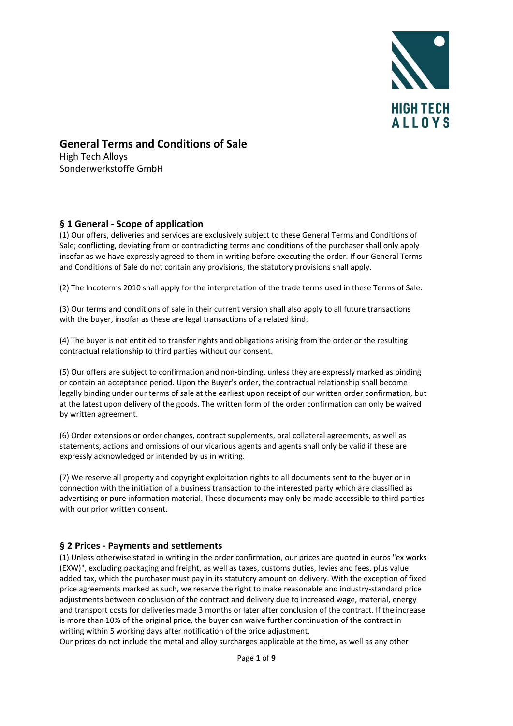

# General Terms and Conditions of Sale

High Tech Alloys Sonderwerkstoffe GmbH

## § 1 General - Scope of application

(1) Our offers, deliveries and services are exclusively subject to these General Terms and Conditions of Sale; conflicting, deviating from or contradicting terms and conditions of the purchaser shall only apply insofar as we have expressly agreed to them in writing before executing the order. If our General Terms and Conditions of Sale do not contain any provisions, the statutory provisions shall apply.

(2) The Incoterms 2010 shall apply for the interpretation of the trade terms used in these Terms of Sale.

(3) Our terms and conditions of sale in their current version shall also apply to all future transactions with the buyer, insofar as these are legal transactions of a related kind.

(4) The buyer is not entitled to transfer rights and obligations arising from the order or the resulting contractual relationship to third parties without our consent.

(5) Our offers are subject to confirmation and non-binding, unless they are expressly marked as binding or contain an acceptance period. Upon the Buyer's order, the contractual relationship shall become legally binding under our terms of sale at the earliest upon receipt of our written order confirmation, but at the latest upon delivery of the goods. The written form of the order confirmation can only be waived by written agreement.

(6) Order extensions or order changes, contract supplements, oral collateral agreements, as well as statements, actions and omissions of our vicarious agents and agents shall only be valid if these are expressly acknowledged or intended by us in writing.

(7) We reserve all property and copyright exploitation rights to all documents sent to the buyer or in connection with the initiation of a business transaction to the interested party which are classified as advertising or pure information material. These documents may only be made accessible to third parties with our prior written consent.

## § 2 Prices - Payments and settlements

(1) Unless otherwise stated in writing in the order confirmation, our prices are quoted in euros "ex works (EXW)", excluding packaging and freight, as well as taxes, customs duties, levies and fees, plus value added tax, which the purchaser must pay in its statutory amount on delivery. With the exception of fixed price agreements marked as such, we reserve the right to make reasonable and industry-standard price adjustments between conclusion of the contract and delivery due to increased wage, material, energy and transport costs for deliveries made 3 months or later after conclusion of the contract. If the increase is more than 10% of the original price, the buyer can waive further continuation of the contract in writing within 5 working days after notification of the price adjustment.

Our prices do not include the metal and alloy surcharges applicable at the time, as well as any other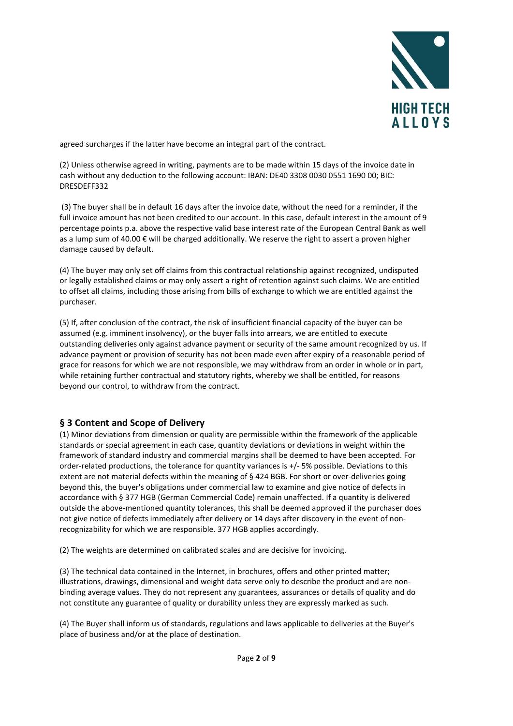

agreed surcharges if the latter have become an integral part of the contract.

(2) Unless otherwise agreed in writing, payments are to be made within 15 days of the invoice date in cash without any deduction to the following account: IBAN: DE40 3308 0030 0551 1690 00; BIC: DRESDEFF332

 (3) The buyer shall be in default 16 days after the invoice date, without the need for a reminder, if the full invoice amount has not been credited to our account. In this case, default interest in the amount of 9 percentage points p.a. above the respective valid base interest rate of the European Central Bank as well as a lump sum of 40.00 € will be charged additionally. We reserve the right to assert a proven higher damage caused by default.

(4) The buyer may only set off claims from this contractual relationship against recognized, undisputed or legally established claims or may only assert a right of retention against such claims. We are entitled to offset all claims, including those arising from bills of exchange to which we are entitled against the purchaser.

(5) If, after conclusion of the contract, the risk of insufficient financial capacity of the buyer can be assumed (e.g. imminent insolvency), or the buyer falls into arrears, we are entitled to execute outstanding deliveries only against advance payment or security of the same amount recognized by us. If advance payment or provision of security has not been made even after expiry of a reasonable period of grace for reasons for which we are not responsible, we may withdraw from an order in whole or in part, while retaining further contractual and statutory rights, whereby we shall be entitled, for reasons beyond our control, to withdraw from the contract.

## § 3 Content and Scope of Delivery

(1) Minor deviations from dimension or quality are permissible within the framework of the applicable standards or special agreement in each case, quantity deviations or deviations in weight within the framework of standard industry and commercial margins shall be deemed to have been accepted. For order-related productions, the tolerance for quantity variances is +/- 5% possible. Deviations to this extent are not material defects within the meaning of § 424 BGB. For short or over-deliveries going beyond this, the buyer's obligations under commercial law to examine and give notice of defects in accordance with § 377 HGB (German Commercial Code) remain unaffected. If a quantity is delivered outside the above-mentioned quantity tolerances, this shall be deemed approved if the purchaser does not give notice of defects immediately after delivery or 14 days after discovery in the event of nonrecognizability for which we are responsible. 377 HGB applies accordingly.

(2) The weights are determined on calibrated scales and are decisive for invoicing.

(3) The technical data contained in the Internet, in brochures, offers and other printed matter; illustrations, drawings, dimensional and weight data serve only to describe the product and are nonbinding average values. They do not represent any guarantees, assurances or details of quality and do not constitute any guarantee of quality or durability unless they are expressly marked as such.

(4) The Buyer shall inform us of standards, regulations and laws applicable to deliveries at the Buyer's place of business and/or at the place of destination.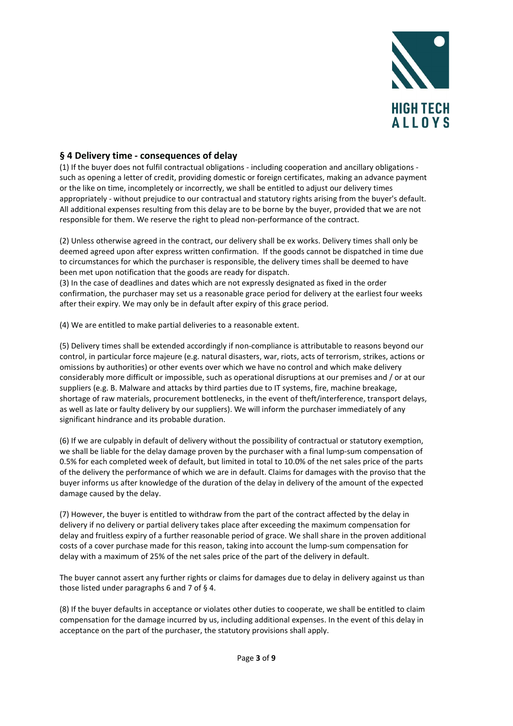

### § 4 Delivery time - consequences of delay

(1) If the buyer does not fulfil contractual obligations - including cooperation and ancillary obligations such as opening a letter of credit, providing domestic or foreign certificates, making an advance payment or the like on time, incompletely or incorrectly, we shall be entitled to adjust our delivery times appropriately - without prejudice to our contractual and statutory rights arising from the buyer's default. All additional expenses resulting from this delay are to be borne by the buyer, provided that we are not responsible for them. We reserve the right to plead non-performance of the contract.

(2) Unless otherwise agreed in the contract, our delivery shall be ex works. Delivery times shall only be deemed agreed upon after express written confirmation. If the goods cannot be dispatched in time due to circumstances for which the purchaser is responsible, the delivery times shall be deemed to have been met upon notification that the goods are ready for dispatch.

(3) In the case of deadlines and dates which are not expressly designated as fixed in the order confirmation, the purchaser may set us a reasonable grace period for delivery at the earliest four weeks after their expiry. We may only be in default after expiry of this grace period.

(4) We are entitled to make partial deliveries to a reasonable extent.

(5) Delivery times shall be extended accordingly if non-compliance is attributable to reasons beyond our control, in particular force majeure (e.g. natural disasters, war, riots, acts of terrorism, strikes, actions or omissions by authorities) or other events over which we have no control and which make delivery considerably more difficult or impossible, such as operational disruptions at our premises and / or at our suppliers (e.g. B. Malware and attacks by third parties due to IT systems, fire, machine breakage, shortage of raw materials, procurement bottlenecks, in the event of theft/interference, transport delays, as well as late or faulty delivery by our suppliers). We will inform the purchaser immediately of any significant hindrance and its probable duration.

(6) If we are culpably in default of delivery without the possibility of contractual or statutory exemption, we shall be liable for the delay damage proven by the purchaser with a final lump-sum compensation of 0.5% for each completed week of default, but limited in total to 10.0% of the net sales price of the parts of the delivery the performance of which we are in default. Claims for damages with the proviso that the buyer informs us after knowledge of the duration of the delay in delivery of the amount of the expected damage caused by the delay.

(7) However, the buyer is entitled to withdraw from the part of the contract affected by the delay in delivery if no delivery or partial delivery takes place after exceeding the maximum compensation for delay and fruitless expiry of a further reasonable period of grace. We shall share in the proven additional costs of a cover purchase made for this reason, taking into account the lump-sum compensation for delay with a maximum of 25% of the net sales price of the part of the delivery in default.

The buyer cannot assert any further rights or claims for damages due to delay in delivery against us than those listed under paragraphs 6 and 7 of § 4.

(8) If the buyer defaults in acceptance or violates other duties to cooperate, we shall be entitled to claim compensation for the damage incurred by us, including additional expenses. In the event of this delay in acceptance on the part of the purchaser, the statutory provisions shall apply.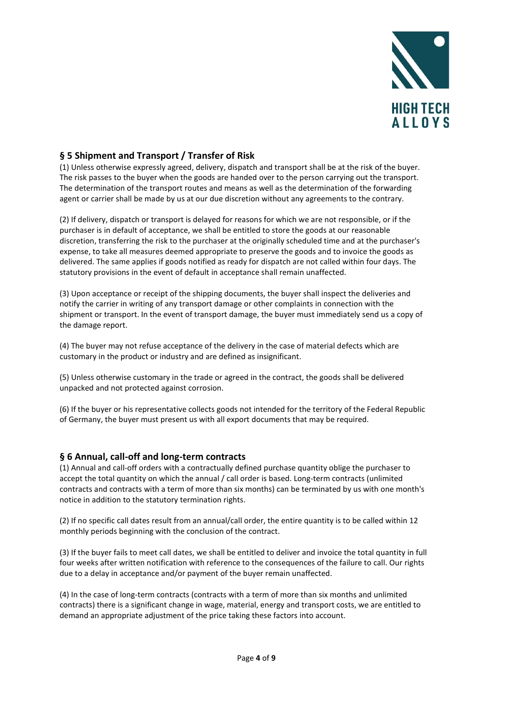

### § 5 Shipment and Transport / Transfer of Risk

(1) Unless otherwise expressly agreed, delivery, dispatch and transport shall be at the risk of the buyer. The risk passes to the buyer when the goods are handed over to the person carrying out the transport. The determination of the transport routes and means as well as the determination of the forwarding agent or carrier shall be made by us at our due discretion without any agreements to the contrary.

(2) If delivery, dispatch or transport is delayed for reasons for which we are not responsible, or if the purchaser is in default of acceptance, we shall be entitled to store the goods at our reasonable discretion, transferring the risk to the purchaser at the originally scheduled time and at the purchaser's expense, to take all measures deemed appropriate to preserve the goods and to invoice the goods as delivered. The same applies if goods notified as ready for dispatch are not called within four days. The statutory provisions in the event of default in acceptance shall remain unaffected.

(3) Upon acceptance or receipt of the shipping documents, the buyer shall inspect the deliveries and notify the carrier in writing of any transport damage or other complaints in connection with the shipment or transport. In the event of transport damage, the buyer must immediately send us a copy of the damage report.

(4) The buyer may not refuse acceptance of the delivery in the case of material defects which are customary in the product or industry and are defined as insignificant.

(5) Unless otherwise customary in the trade or agreed in the contract, the goods shall be delivered unpacked and not protected against corrosion.

(6) If the buyer or his representative collects goods not intended for the territory of the Federal Republic of Germany, the buyer must present us with all export documents that may be required.

#### § 6 Annual, call-off and long-term contracts

(1) Annual and call-off orders with a contractually defined purchase quantity oblige the purchaser to accept the total quantity on which the annual / call order is based. Long-term contracts (unlimited contracts and contracts with a term of more than six months) can be terminated by us with one month's notice in addition to the statutory termination rights.

(2) If no specific call dates result from an annual/call order, the entire quantity is to be called within 12 monthly periods beginning with the conclusion of the contract.

(3) If the buyer fails to meet call dates, we shall be entitled to deliver and invoice the total quantity in full four weeks after written notification with reference to the consequences of the failure to call. Our rights due to a delay in acceptance and/or payment of the buyer remain unaffected.

(4) In the case of long-term contracts (contracts with a term of more than six months and unlimited contracts) there is a significant change in wage, material, energy and transport costs, we are entitled to demand an appropriate adjustment of the price taking these factors into account.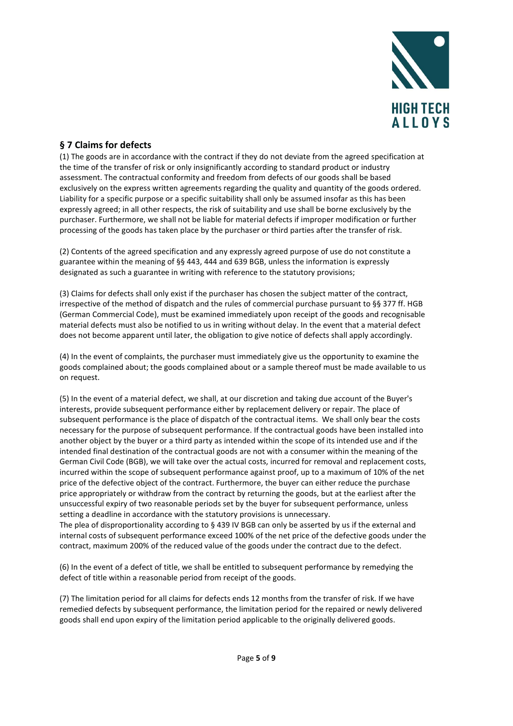

## § 7 Claims for defects

(1) The goods are in accordance with the contract if they do not deviate from the agreed specification at the time of the transfer of risk or only insignificantly according to standard product or industry assessment. The contractual conformity and freedom from defects of our goods shall be based exclusively on the express written agreements regarding the quality and quantity of the goods ordered. Liability for a specific purpose or a specific suitability shall only be assumed insofar as this has been expressly agreed; in all other respects, the risk of suitability and use shall be borne exclusively by the purchaser. Furthermore, we shall not be liable for material defects if improper modification or further processing of the goods has taken place by the purchaser or third parties after the transfer of risk.

(2) Contents of the agreed specification and any expressly agreed purpose of use do not constitute a guarantee within the meaning of §§ 443, 444 and 639 BGB, unless the information is expressly designated as such a guarantee in writing with reference to the statutory provisions;

(3) Claims for defects shall only exist if the purchaser has chosen the subject matter of the contract, irrespective of the method of dispatch and the rules of commercial purchase pursuant to §§ 377 ff. HGB (German Commercial Code), must be examined immediately upon receipt of the goods and recognisable material defects must also be notified to us in writing without delay. In the event that a material defect does not become apparent until later, the obligation to give notice of defects shall apply accordingly.

(4) In the event of complaints, the purchaser must immediately give us the opportunity to examine the goods complained about; the goods complained about or a sample thereof must be made available to us on request.

(5) In the event of a material defect, we shall, at our discretion and taking due account of the Buyer's interests, provide subsequent performance either by replacement delivery or repair. The place of subsequent performance is the place of dispatch of the contractual items. We shall only bear the costs necessary for the purpose of subsequent performance. If the contractual goods have been installed into another object by the buyer or a third party as intended within the scope of its intended use and if the intended final destination of the contractual goods are not with a consumer within the meaning of the German Civil Code (BGB), we will take over the actual costs, incurred for removal and replacement costs, incurred within the scope of subsequent performance against proof, up to a maximum of 10% of the net price of the defective object of the contract. Furthermore, the buyer can either reduce the purchase price appropriately or withdraw from the contract by returning the goods, but at the earliest after the unsuccessful expiry of two reasonable periods set by the buyer for subsequent performance, unless setting a deadline in accordance with the statutory provisions is unnecessary.

The plea of disproportionality according to § 439 IV BGB can only be asserted by us if the external and internal costs of subsequent performance exceed 100% of the net price of the defective goods under the contract, maximum 200% of the reduced value of the goods under the contract due to the defect.

(6) In the event of a defect of title, we shall be entitled to subsequent performance by remedying the defect of title within a reasonable period from receipt of the goods.

(7) The limitation period for all claims for defects ends 12 months from the transfer of risk. If we have remedied defects by subsequent performance, the limitation period for the repaired or newly delivered goods shall end upon expiry of the limitation period applicable to the originally delivered goods.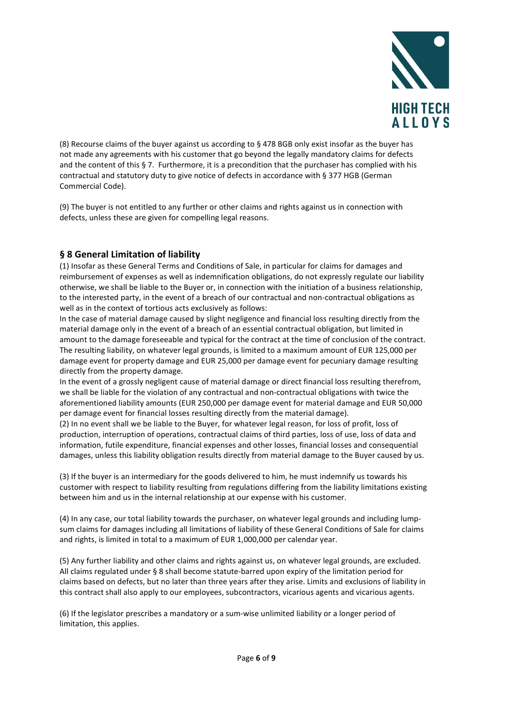

(8) Recourse claims of the buyer against us according to § 478 BGB only exist insofar as the buyer has not made any agreements with his customer that go beyond the legally mandatory claims for defects and the content of this § 7. Furthermore, it is a precondition that the purchaser has complied with his contractual and statutory duty to give notice of defects in accordance with § 377 HGB (German Commercial Code).

(9) The buyer is not entitled to any further or other claims and rights against us in connection with defects, unless these are given for compelling legal reasons.

## § 8 General Limitation of liability

(1) Insofar as these General Terms and Conditions of Sale, in particular for claims for damages and reimbursement of expenses as well as indemnification obligations, do not expressly regulate our liability otherwise, we shall be liable to the Buyer or, in connection with the initiation of a business relationship, to the interested party, in the event of a breach of our contractual and non-contractual obligations as well as in the context of tortious acts exclusively as follows:

In the case of material damage caused by slight negligence and financial loss resulting directly from the material damage only in the event of a breach of an essential contractual obligation, but limited in amount to the damage foreseeable and typical for the contract at the time of conclusion of the contract. The resulting liability, on whatever legal grounds, is limited to a maximum amount of EUR 125,000 per damage event for property damage and EUR 25,000 per damage event for pecuniary damage resulting directly from the property damage.

In the event of a grossly negligent cause of material damage or direct financial loss resulting therefrom, we shall be liable for the violation of any contractual and non-contractual obligations with twice the aforementioned liability amounts (EUR 250,000 per damage event for material damage and EUR 50,000 per damage event for financial losses resulting directly from the material damage).

(2) In no event shall we be liable to the Buyer, for whatever legal reason, for loss of profit, loss of production, interruption of operations, contractual claims of third parties, loss of use, loss of data and information, futile expenditure, financial expenses and other losses, financial losses and consequential damages, unless this liability obligation results directly from material damage to the Buyer caused by us.

(3) If the buyer is an intermediary for the goods delivered to him, he must indemnify us towards his customer with respect to liability resulting from regulations differing from the liability limitations existing between him and us in the internal relationship at our expense with his customer.

(4) In any case, our total liability towards the purchaser, on whatever legal grounds and including lumpsum claims for damages including all limitations of liability of these General Conditions of Sale for claims and rights, is limited in total to a maximum of EUR 1,000,000 per calendar year.

(5) Any further liability and other claims and rights against us, on whatever legal grounds, are excluded. All claims regulated under § 8 shall become statute-barred upon expiry of the limitation period for claims based on defects, but no later than three years after they arise. Limits and exclusions of liability in this contract shall also apply to our employees, subcontractors, vicarious agents and vicarious agents.

(6) If the legislator prescribes a mandatory or a sum-wise unlimited liability or a longer period of limitation, this applies.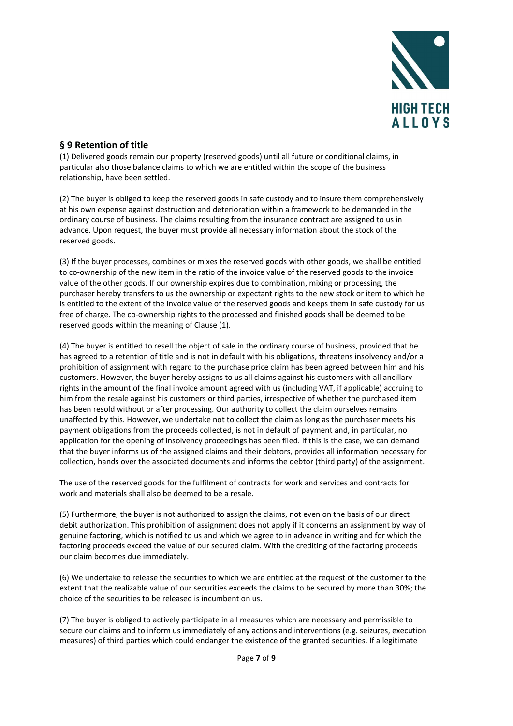

## § 9 Retention of title

(1) Delivered goods remain our property (reserved goods) until all future or conditional claims, in particular also those balance claims to which we are entitled within the scope of the business relationship, have been settled.

(2) The buyer is obliged to keep the reserved goods in safe custody and to insure them comprehensively at his own expense against destruction and deterioration within a framework to be demanded in the ordinary course of business. The claims resulting from the insurance contract are assigned to us in advance. Upon request, the buyer must provide all necessary information about the stock of the reserved goods.

(3) If the buyer processes, combines or mixes the reserved goods with other goods, we shall be entitled to co-ownership of the new item in the ratio of the invoice value of the reserved goods to the invoice value of the other goods. If our ownership expires due to combination, mixing or processing, the purchaser hereby transfers to us the ownership or expectant rights to the new stock or item to which he is entitled to the extent of the invoice value of the reserved goods and keeps them in safe custody for us free of charge. The co-ownership rights to the processed and finished goods shall be deemed to be reserved goods within the meaning of Clause (1).

(4) The buyer is entitled to resell the object of sale in the ordinary course of business, provided that he has agreed to a retention of title and is not in default with his obligations, threatens insolvency and/or a prohibition of assignment with regard to the purchase price claim has been agreed between him and his customers. However, the buyer hereby assigns to us all claims against his customers with all ancillary rights in the amount of the final invoice amount agreed with us (including VAT, if applicable) accruing to him from the resale against his customers or third parties, irrespective of whether the purchased item has been resold without or after processing. Our authority to collect the claim ourselves remains unaffected by this. However, we undertake not to collect the claim as long as the purchaser meets his payment obligations from the proceeds collected, is not in default of payment and, in particular, no application for the opening of insolvency proceedings has been filed. If this is the case, we can demand that the buyer informs us of the assigned claims and their debtors, provides all information necessary for collection, hands over the associated documents and informs the debtor (third party) of the assignment.

The use of the reserved goods for the fulfilment of contracts for work and services and contracts for work and materials shall also be deemed to be a resale.

(5) Furthermore, the buyer is not authorized to assign the claims, not even on the basis of our direct debit authorization. This prohibition of assignment does not apply if it concerns an assignment by way of genuine factoring, which is notified to us and which we agree to in advance in writing and for which the factoring proceeds exceed the value of our secured claim. With the crediting of the factoring proceeds our claim becomes due immediately.

(6) We undertake to release the securities to which we are entitled at the request of the customer to the extent that the realizable value of our securities exceeds the claims to be secured by more than 30%; the choice of the securities to be released is incumbent on us.

(7) The buyer is obliged to actively participate in all measures which are necessary and permissible to secure our claims and to inform us immediately of any actions and interventions (e.g. seizures, execution measures) of third parties which could endanger the existence of the granted securities. If a legitimate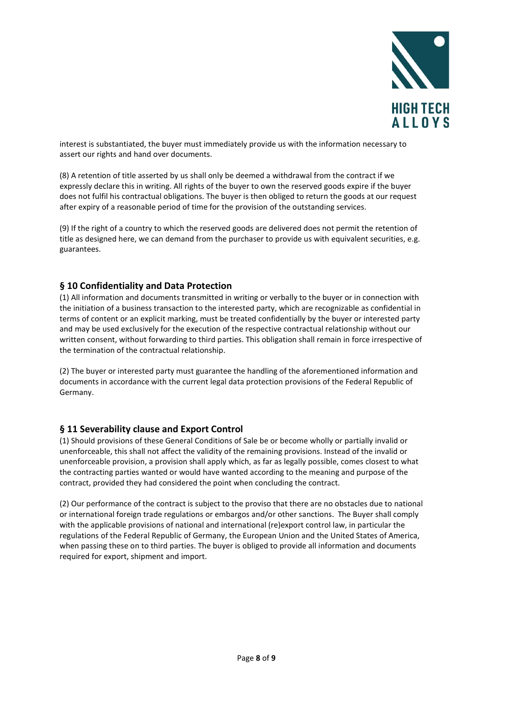

interest is substantiated, the buyer must immediately provide us with the information necessary to assert our rights and hand over documents.

(8) A retention of title asserted by us shall only be deemed a withdrawal from the contract if we expressly declare this in writing. All rights of the buyer to own the reserved goods expire if the buyer does not fulfil his contractual obligations. The buyer is then obliged to return the goods at our request after expiry of a reasonable period of time for the provision of the outstanding services.

(9) If the right of a country to which the reserved goods are delivered does not permit the retention of title as designed here, we can demand from the purchaser to provide us with equivalent securities, e.g. guarantees.

#### § 10 Confidentiality and Data Protection

(1) All information and documents transmitted in writing or verbally to the buyer or in connection with the initiation of a business transaction to the interested party, which are recognizable as confidential in terms of content or an explicit marking, must be treated confidentially by the buyer or interested party and may be used exclusively for the execution of the respective contractual relationship without our written consent, without forwarding to third parties. This obligation shall remain in force irrespective of the termination of the contractual relationship.

(2) The buyer or interested party must guarantee the handling of the aforementioned information and documents in accordance with the current legal data protection provisions of the Federal Republic of Germany.

### § 11 Severability clause and Export Control

(1) Should provisions of these General Conditions of Sale be or become wholly or partially invalid or unenforceable, this shall not affect the validity of the remaining provisions. Instead of the invalid or unenforceable provision, a provision shall apply which, as far as legally possible, comes closest to what the contracting parties wanted or would have wanted according to the meaning and purpose of the contract, provided they had considered the point when concluding the contract.

(2) Our performance of the contract is subject to the proviso that there are no obstacles due to national or international foreign trade regulations or embargos and/or other sanctions. The Buyer shall comply with the applicable provisions of national and international (re)export control law, in particular the regulations of the Federal Republic of Germany, the European Union and the United States of America, when passing these on to third parties. The buyer is obliged to provide all information and documents required for export, shipment and import.